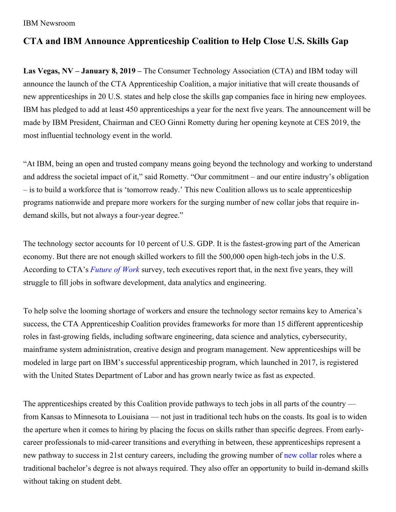#### IBM Newsroom

# **CTA and IBM Announce Apprenticeship Coalition to Help Close U.S. Skills Gap**

**Las Vegas, NV – January 8, 2019 –** The Consumer Technology Association (CTA) and IBM today will announce the launch of the CTA Apprenticeship Coalition, a major initiative that will create thousands of new apprenticeships in 20 U.S. states and help close the skills gap companies face in hiring new employees. IBM has pledged to add at least 450 apprenticeships a year for the next five years. The announcement will be made by IBM President, Chairman and CEO Ginni Rometty during her opening keynote at CES 2019, the most influential technology event in the world.

"At IBM, being an open and trusted company means going beyond the technology and working to understand and address the societal impact of it," said Rometty. "Our commitment – and our entire industry's obligation – is to build a workforce that is 'tomorrow ready.' This new Coalition allows us to scale apprenticeship programs nationwide and prepare more workers for the surging number of new collar jobs that require indemand skills, but not always a four-year degree."

The technology sector accounts for 10 percent of U.S. GDP. It is the fastest-growing part of the American economy. But there are not enough skilled workers to fill the 500,000 open high-tech jobs in the U.S. According to CTA's *[Future](http://www.cta.tech/cta/media/Membership/PDFs/FutureofWork_WhitePaper_Print10-12.pdf) of Work* survey, tech executives report that, in the next five years, they will struggle to fill jobs in software development, data analytics and engineering.

To help solve the looming shortage of workers and ensure the technology sector remains key to America's success, the CTA Apprenticeship Coalition provides frameworks for more than 15 different apprenticeship roles in fast-growing fields, including software engineering, data science and analytics, cybersecurity, mainframe system administration, creative design and program management. New apprenticeships will be modeled in large part on IBM's successful apprenticeship program, which launched in 2017, is registered with the United States Department of Labor and has grown nearly twice as fast as expected.

The apprenticeships created by this Coalition provide pathways to tech jobs in all parts of the country from Kansas to Minnesota to Louisiana — not just in traditional tech hubs on the coasts. Its goal is to widen the aperture when it comes to hiring by placing the focus on skills rather than specific degrees. From earlycareer professionals to mid-career transitions and everything in between, these apprenticeships represent a new pathway to success in 21st century careers, including the growing number of new [collar](https://www.ibm.com/blogs/policy/category/new-collar-jobs/) roles where a traditional bachelor's degree is not always required. They also offer an opportunity to build in-demand skills without taking on student debt.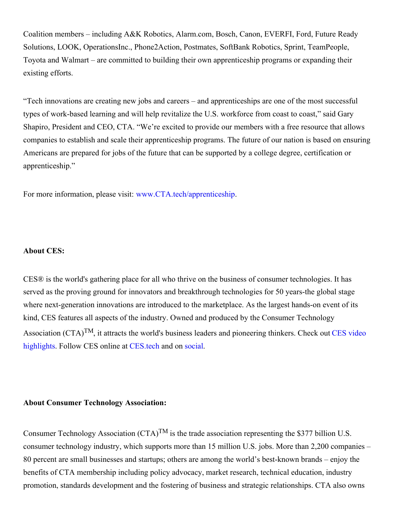Coalition members – including A&K Robotics, Alarm.com, Bosch, Canon, EVERFI, Ford, Future Ready Solutions, LOOK, OperationsInc., Phone2Action, Postmates, SoftBank Robotics, Sprint, TeamPeople, Toyota and Walmart – are committed to building their own apprenticeship programs or expanding their existing efforts.

"Tech innovations are creating new jobs and careers – and apprenticeships are one of the most successful types of work-based learning and will help revitalize the U.S. workforce from coast to coast," said Gary Shapiro, President and CEO, CTA. "We're excited to provide our members with a free resource that allows companies to establish and scale their apprenticeship programs. The future of our nation is based on ensuring Americans are prepared for jobs of the future that can be supported by a college degree, certification or apprenticeship."

For more information, please visit: [www.CTA.tech/apprenticeship](http://www.cta.tech/apprenticeship).

## **About CES:**

CES® is the world's gathering place for all who thrive on the business of consumer technologies. It has served as the proving ground for innovators and breakthrough technologies for 50 years-the global stage where next-generation innovations are introduced to the marketplace. As the largest hands-on event of its kind, CES features all aspects of the industry. Owned and produced by the Consumer Technology [Association](http://videos.ces.tech/) (CTA)<sup>TM</sup>, it attracts the world's business leaders and pioneering thinkers. Check out CES video highlights. Follow CES online at CES tech and on [social](http://www.ces.tech/News/CES-Social).

#### **About Consumer Technology Association:**

Consumer Technology Association (CTA)<sup>TM</sup> is the trade association representing the \$377 billion U.S. consumer technology industry, which supports more than 15 million U.S. jobs. More than 2,200 companies – 80 percent are small businesses and startups; others are among the world's best-known brands – enjoy the benefits of CTA membership including policy advocacy, market research, technical education, industry promotion, standards development and the fostering of business and strategic relationships. CTA also owns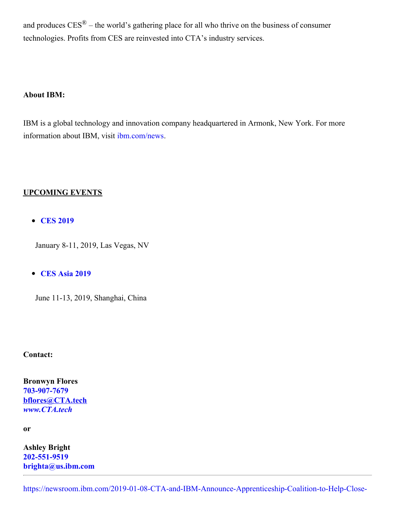and produces  $CES^{\circledR}$  – the world's gathering place for all who thrive on the business of consumer technologies. Profits from CES are reinvested into CTA's industry services.

## **About IBM:**

IBM is a global technology and innovation company headquartered in Armonk, New York. For more information about IBM, visit [ibm.com/news](https://newsroom.ibm.com/).

## **UPCOMING EVENTS**

**CES [2019](https://www.ces.tech/)**

January 8-11, 2019, Las Vegas, NV

# **CES Asia [2019](http://www.cesasia.cn/)**

June 11-13, 2019, Shanghai, China

#### **Contact:**

**Bronwyn Flores [703-907-7679](tel:703-907-7679) [bflores@CTA.tech](mailto:bflores@CTA.tech)** *[www.CTA.tech](http://www.cta.tech/)*

**or**

**Ashley Bright [202-551-9519](tel:202-551-9519) [brighta@us.ibm.com](mailto:brighta@us.ibm.com)**